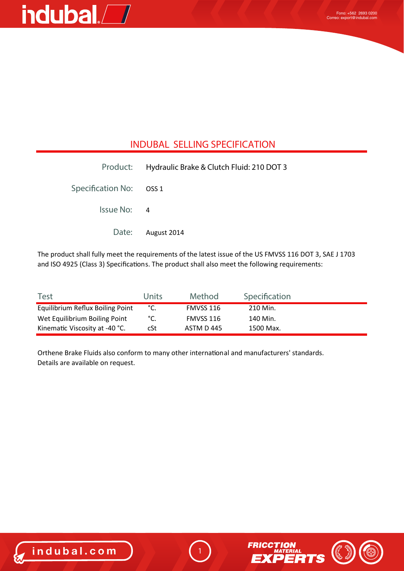

### **INDUBAL SELLING SPECIFICATION**

|                         | Product: Hydraulic Brake & Clutch Fluid: 210 DOT 3 |
|-------------------------|----------------------------------------------------|
| Specification No: OSS 1 |                                                    |
| Issue No: 4             |                                                    |
|                         | Date: August 2014                                  |

The product shall fully meet the requirements of the latest issue of the US FMVSS 116 DOT 3, SAE J 1703 and ISO 4925 (Class 3) Specifications. The product shall also meet the following requirements:

| <b>Test</b>                      | <b>Units</b> | Method     | Specification |  |
|----------------------------------|--------------|------------|---------------|--|
| Equilibrium Reflux Boiling Point | °C.          | FMVSS 116  | 210 Min.      |  |
| Wet Equilibrium Boiling Point    | °C.          | FMVSS 116  | 140 Min.      |  |
| Kinematic Viscosity at -40 °C.   | cSt          | ASTM D 445 | 1500 Max.     |  |

Orthene Brake Fluids also conform to many other international and manufacturers' standards. Details are available on request.



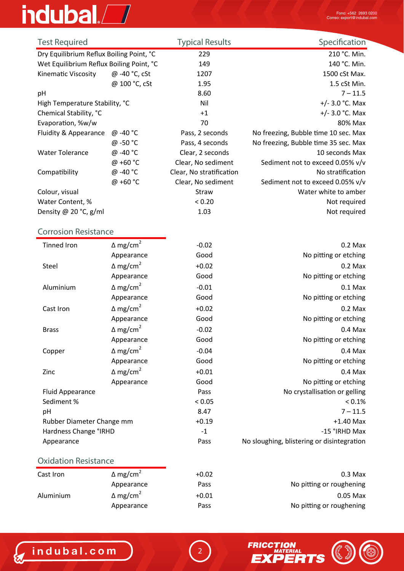# indubal.<sup>7</sup>

| <b>Test Required</b>                     |               | <b>Typical Results</b>   | Specification                        |
|------------------------------------------|---------------|--------------------------|--------------------------------------|
| Dry Equilibrium Reflux Boiling Point, °C |               | 229                      | 210 °C. Min.                         |
| Wet Equilibrium Reflux Boiling Point, °C |               | 149                      | 140 °C. Min.                         |
| Kinematic Viscosity                      | @ -40 °C, cSt | 1207                     | 1500 cSt Max.                        |
|                                          | @ 100 °C, cSt | 1.95                     | 1.5 cSt Min.                         |
| pH                                       |               | 8.60                     | $7 - 11.5$                           |
| High Temperature Stability, °C           |               | Nil                      | +/- $3.0$ °C. Max                    |
| Chemical Stability, °C                   |               | $+1$                     | +/- $3.0$ °C. Max                    |
| Evaporation, %w/w                        |               | 70                       | 80% Max                              |
| Fluidity & Appearance                    | @ -40 °C      | Pass, 2 seconds          | No freezing, Bubble time 10 sec. Max |
|                                          | @ -50 °C      | Pass, 4 seconds          | No freezing, Bubble time 35 sec. Max |
| <b>Water Tolerance</b>                   | @ -40 °C      | Clear, 2 seconds         | 10 seconds Max                       |
|                                          | @ +60 °C      | Clear, No sediment       | Sediment not to exceed 0.05% v/v     |
| Compatibility                            | @ -40 °C      | Clear, No stratification | No stratification                    |
|                                          | @ +60 °C      | Clear, No sediment       | Sediment not to exceed 0.05% v/v     |
| Colour, visual                           |               | Straw                    | Water white to amber                 |
| Water Content, %                         |               | < 0.20                   | Not required                         |
| Density @ 20 °C, $g/ml$                  |               | 1.03                     | Not required                         |

### **Corrosion Resistance**

| <b>Tinned Iron</b>        | $\Delta$ mg/cm <sup>2</sup> | $-0.02$ | $0.2$ Max                                  |
|---------------------------|-----------------------------|---------|--------------------------------------------|
|                           | Appearance                  | Good    | No pitting or etching                      |
| Steel                     | $\Delta$ mg/cm <sup>2</sup> | $+0.02$ | $0.2$ Max                                  |
|                           | Appearance                  | Good    | No pitting or etching                      |
| Aluminium                 | $\Delta$ mg/cm <sup>2</sup> | $-0.01$ | $0.1$ Max                                  |
|                           | Appearance                  | Good    | No pitting or etching                      |
| Cast Iron                 | $\Delta$ mg/cm <sup>2</sup> | $+0.02$ | $0.2$ Max                                  |
|                           | Appearance                  | Good    | No pitting or etching                      |
| <b>Brass</b>              | $\Delta$ mg/cm <sup>2</sup> | $-0.02$ | $0.4$ Max                                  |
|                           | Appearance                  | Good    | No pitting or etching                      |
| Copper                    | $\Delta$ mg/cm <sup>2</sup> | $-0.04$ | $0.4$ Max                                  |
|                           | Appearance                  | Good    | No pitting or etching                      |
| Zinc                      | $\Delta$ mg/cm <sup>2</sup> | $+0.01$ | $0.4$ Max                                  |
|                           | Appearance                  | Good    | No pitting or etching                      |
| <b>Fluid Appearance</b>   |                             | Pass    | No crystallisation or gelling              |
| Sediment %                |                             | < 0.05  | $< 0.1\%$                                  |
| pH                        |                             | 8.47    | $7 - 11.5$                                 |
| Rubber Diameter Change mm |                             | $+0.19$ | $+1.40$ Max                                |
| Hardness Change °IRHD     |                             | $-1$    | -15 °IRHD Max                              |
| Appearance                |                             | Pass    | No sloughing, blistering or disintegration |
|                           |                             |         |                                            |

#### **Oxidation Resistance**

| Cast Iron | $\Delta$ mg/cm <sup>2</sup> | $+0.02$ | $0.3$ Max                |
|-----------|-----------------------------|---------|--------------------------|
|           | Appearance                  | Pass    | No pitting or roughening |
| Aluminium | $\Delta$ mg/cm <sup>2</sup> | $+0.01$ | $0.05$ Max               |
|           | Appearance                  | Pass    | No pitting or roughening |



2